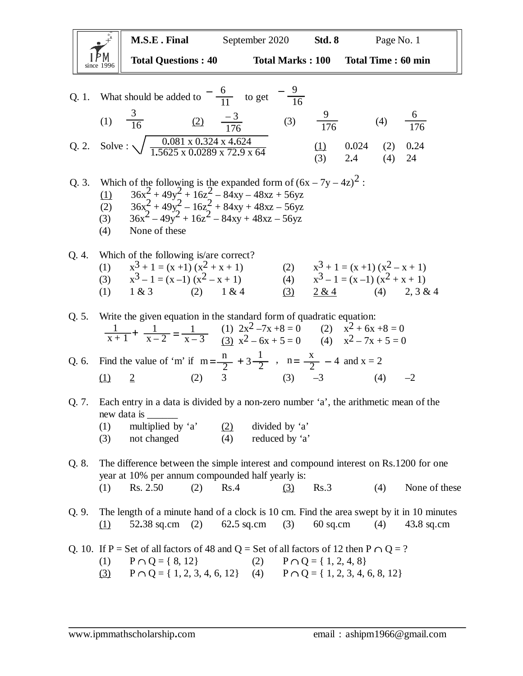since 1996 **M.S.E . Final** September 2020 **Std. 8** Page No. 1 **Total Questions : 40 Total Marks : 100 Total Time : 60 min** Q. 1. What should be added to  $\frac{1}{11}$  to get (1)  $\overline{16}$  (2)  $\overline{136}$  (3)  $\overline{176}$  (4) Q. 2. Solve :  $\sqrt{\frac{0.001 \times 0.324 \times 4.024}{1.5625 \times 0.0390 \times 72.0 \times 64}}$  (1) 0.024 (2) 0.24 (3) 2**.**4 (4) 24 Q. 3. Which of the following is the expanded form of  $(6x - 7y - 4z)^2$ : (1)  $36x^2 + 49y^2 + 16z^2 - 84xy - 48xz + 56yz$ (2)  $36x^2 + 49y^2 - 16z^2 + 84xy + 48xz - 56yz$ 6 11  $-\frac{6}{4}$  to get  $-\frac{9}{4}$ 16 **–** 0**.**081 x 0**.**324 x 4**.**624 1**.**5625 x 0**.**0289 x 72**.**9 x 64 (3)  $36x^2 - 49y^2 + 16z^2 - 84xy + 48xz - 56yz$ (4) None of these Q. 4. Which of the following is/are correct?  $(1)$  $3+1 = (x + 1)(x^2 + x + 1)$  (2)  $x^3 + 1 = (x + 1)(x^2 - x + 1)$  $(3)$  $3-1 = (x-1)(x^2-x+1)$  (4)  $x^3-1 = (x-1)(x^2+x+1)$ (1)  $1 \& 3$  (2)  $1 \& 4$  (3)  $2 \& 4$  (4)  $2, 3 \& 4$ Q. 5. Write the given equation in the standard form of quadratic equation: (1)  $2x^2 - 7x + 8 = 0$  (2)  $x^2 + 6x + 8 = 0$ (3)  $x^2 - 6x + 5 = 0$  (4)  $x^2 - 7x + 5 = 0$ Q. 6. Find the value of 'm' if  $m = \frac{n}{2} + 3\frac{1}{2}$ ,  $n = \frac{x}{2} - 4$  and  $x = 2$ (1)  $\frac{2}{ }$  (2) 3 (3)  $-3$  (4)  $-2$ Q. 7. Each entry in a data is divided by a non-zero number 'a', the arithmetic mean of the new data is \_\_\_\_\_\_ (1) multiplied by 'a' (2) divided by 'a' (3) not changed (4) reduced by 'a' Q. 8. The difference between the simple interest and compound interest on Rs.1200 for one year at 10% per annum compounded half yearly is: (1) Rs. 2.50 (2) Rs. 4 (3) Rs. 3 (4) None of these Q. 9. The length of a minute hand of a clock is 10 cm. Find the area swept by it in 10 minutes (1) 52**.**38 sq.cm (2) 62**.**5 sq.cm (3) 60 sq.cm (4) 43**.**8 sq.cm Q. 10. If P = Set of all factors of 48 and Q = Set of all factors of 12 then P  $\cap$  Q = ? (1)  $P \cap Q = \{ 8, 12 \}$  (2)  $P \cap Q = \{ 1, 2, 4, 8 \}$ 1  $x + 1$ 1  $x - 2$  $+\frac{1}{x-2} = \frac{1}{x-3}$ 2 1  $3\frac{1}{2}$ ,  $n=\frac{x}{2}$ ,  $n = \frac{\lambda}{2} - 4$ 3 16 9 176 6 176 – 3 176

 $(3)$  P  $\cap$  Q = { 1, 2, 3, 4, 6, 12} (4) P  $\cap$  Q = { 1, 2, 3, 4, 6, 8, 12}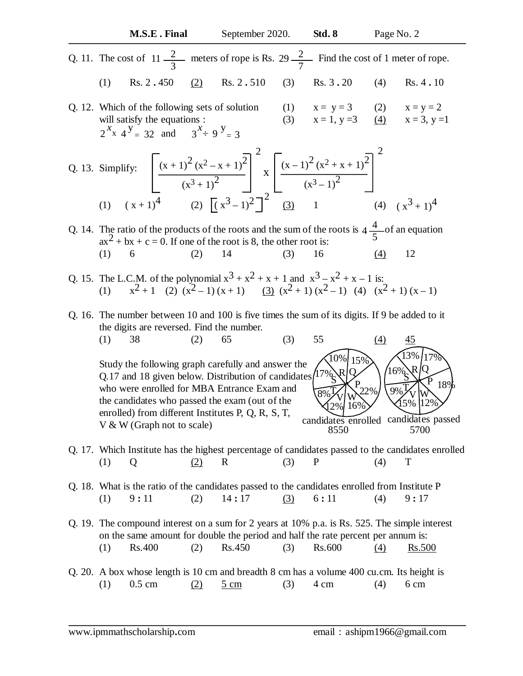Q. 11. The cost of meters of rope is Rs. Find the cost of 1 meter of rope. (1) Rs. 2 **.** 450 (2) Rs. 2 **.** 510 (3) Rs. 3 **.** 20 (4) Rs. 4 **.** 10 Q. 12. Which of the following sets of solution (1) x = y = 3 (2) x = y = 2 will satisfy the equations : (3) x = 1, y =3 (4) x = 3, y =1 Q. 13. Simplify: (1) (2) (3) 1 (4) Q. 14. The ratio of the products of the roots and the sum of the roots is of an equation ax2 + bx + c = 0. If one of the root is 8, the other root is: (1) 6 (2) 14 (3) 16 (4) 12 Q. 15. The L.C.M. of the polynomial x3 + x2 + x + 1 and x3 – x2 + x – 1 is: (1) x 2 + 1 (2) (x2 – 1) (x + 1) (3) (x2 + 1) (x2 – 1) (4) (x2 + 1) (x – 1) Q. 16. The number between 10 and 100 is five times the sum of its digits. If 9 be added to it the digits are reversed. Find the number. (1) 38 (2) 65 (3) 55 (4) 45 Study the following graph carefully and answer the Q.17 and 18 given below. Distribution of candidates who were enrolled for MBA Entrance Exam and the candidates who passed the exam (out of the enrolled) from different Institutes P, Q, R, S, T, V & W (Graph not to scale) Q. 17. Which Institute has the highest percentage of candidates passed to the candidates enrolled (1) Q (2) R (3) P (4) T Q. 18. What is the ratio of the candidates passed to the candidates enrolled from Institute P (1) 9 **:** 11 (2) 14 **:** 17 (3) 6 **:** 11 (4) 9 **:** 17 Q. 19. The compound interest on a sum for 2 years at 10% p.a. is Rs. 525. The simple interest on the same amount for double the period and half the rate percent per annum is: (1) Rs.400 (2) Rs.450 (3) Rs.600 (4) Rs.500 Q. 20. A box whose length is 10 cm and breadth 8 cm has a volume 400 cu.cm. Its height is (1) 0.5 cm (2) 5 cm (3) 4 cm (4) 6 cm 2 3 11 2 7 29 (x + 1)<sup>2</sup> (x2 – x + 1)<sup>2</sup> (x3 + 1)<sup>2</sup> 2 x (x – 1)<sup>2</sup> (x2 + x + 1)<sup>2</sup> (x3 – 1)<sup>2</sup> 2 ( x + 1)4 ( x3 – 1)2 2 ( x3 + 1)4 4 5 4 • P R Q S T V W 22% 17% 10% 15% 16% 8% 12% candidates enrolled 8550 candidates passed 5700 • P R Q S T V W 18% 16% 13% 17% 12% 9% 15% 2 x *x* 4 y <sup>=</sup> 32 3 *x* 9 y and = 3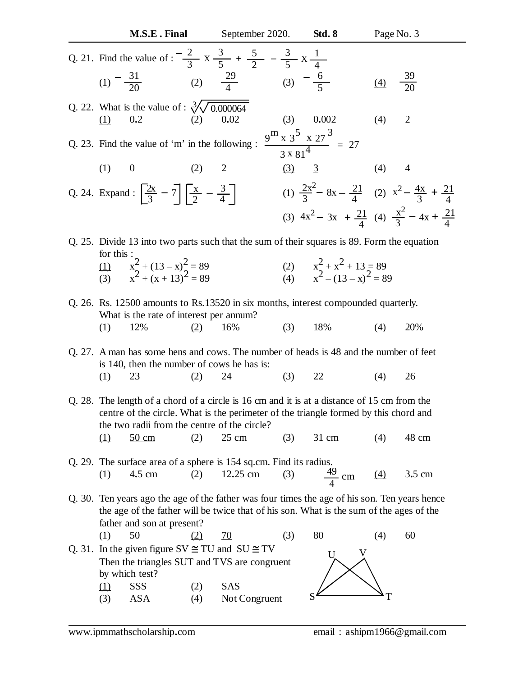| M.S.E. Final                                                                                                                                                                                                                        | September 2020.         | <b>Std. 8</b>                                                                    | Page No. 3      |                  |
|-------------------------------------------------------------------------------------------------------------------------------------------------------------------------------------------------------------------------------------|-------------------------|----------------------------------------------------------------------------------|-----------------|------------------|
| Q. 21. Find the value of : $\frac{2}{3}$ x $\frac{3}{5}$ + $\frac{5}{2}$ - $\frac{3}{5}$ x $\frac{1}{4}$<br>(1) $-\frac{31}{20}$ (2) $\frac{29}{4}$                                                                                 |                         | (3) $-\frac{6}{5}$                                                               | $\Delta$        | $\frac{39}{20}$  |
| Q. 22. What is the value of : $\sqrt[3]{\sqrt{0.000064}}$<br>0.2<br>(1)                                                                                                                                                             | 0.02<br>(2)             | 0.002<br>(3)                                                                     | (4)             | $\overline{2}$   |
| Q. 23. Find the value of 'm' in the following : $\frac{9^{\text{m}} \times 3^{\text{5}} \times 27^{\text{3}}}{3 \times 81^{\text{4}}} = 27$                                                                                         |                         |                                                                                  |                 |                  |
| (1)<br>$\boldsymbol{0}$                                                                                                                                                                                                             | (2)<br>$\overline{c}$   | (3)<br>$\overline{3}$                                                            | (4)             | 4                |
| Q. 24. Expand : $\left  \frac{2x}{3} - 7 \right  \left  \frac{x}{2} - \frac{3}{4} \right $                                                                                                                                          |                         | (1) $\frac{2x^2}{3} - 8x - \frac{21}{4}$ (2) $x^2 - \frac{4x}{3} + \frac{21}{4}$ |                 |                  |
|                                                                                                                                                                                                                                     |                         | (3) $4x^2 - 3x + \frac{21}{4}$ (4) $\frac{x^2}{3} - 4x + \frac{21}{4}$           |                 |                  |
| Q. 25. Divide 13 into two parts such that the sum of their squares is 89. Form the equation<br>for this:                                                                                                                            |                         |                                                                                  |                 |                  |
| $\frac{(1)}{(3)}$ $\frac{x^2 + (13 - x)^2}{x^2 + (x + 13)^2} = 89$                                                                                                                                                                  |                         | (2) $x^2 + x^2 + 13 = 89$<br>(4) $x^2 - (13 - x)^2 = 89$                         |                 |                  |
| Q. 26. Rs. 12500 amounts to Rs. 13520 in six months, interest compounded quarterly.<br>What is the rate of interest per annum?                                                                                                      |                         |                                                                                  |                 |                  |
| 12%<br>(1)                                                                                                                                                                                                                          | 16%<br>(2)              | (3)<br>18%                                                                       | (4)             | 20%              |
| Q. 27. A man has some hens and cows. The number of heads is 48 and the number of feet<br>is 140, then the number of cows he has is:                                                                                                 |                         |                                                                                  |                 |                  |
| (1)<br>23                                                                                                                                                                                                                           | 24<br>(2)               | <u>(3)</u><br><u>22</u>                                                          | (4)             | 26               |
| Q. 28. The length of a chord of a circle is 16 cm and it is at a distance of 15 cm from the<br>centre of the circle. What is the perimeter of the triangle formed by this chord and<br>the two radii from the centre of the circle? |                         |                                                                                  |                 |                  |
| $\Omega$<br>$50 \text{ cm}$                                                                                                                                                                                                         | $25 \text{ cm}$<br>(2)  | 31 cm<br>(3)                                                                     | (4)             | 48 cm            |
| Q. 29. The surface area of a sphere is 154 sq.cm. Find its radius.                                                                                                                                                                  |                         |                                                                                  |                 |                  |
| 4.5 cm<br>(1)                                                                                                                                                                                                                       | 12.25 cm<br>(2)         | $\frac{49}{4}$ cm<br>(3)                                                         | $\frac{(4)}{4}$ | $3.5 \text{ cm}$ |
| Q. 30. Ten years ago the age of the father was four times the age of his son. Ten years hence<br>the age of the father will be twice that of his son. What is the sum of the ages of the<br>father and son at present?              |                         |                                                                                  |                 |                  |
| 50<br>(1)                                                                                                                                                                                                                           | <u>(2)</u><br><u>70</u> | 80<br>(3)                                                                        | (4)             | 60               |
| Q. 31. In the given figure SV $\cong$ TU and SU $\cong$ TV<br>Then the triangles SUT and TVS are congruent<br>by which test?                                                                                                        |                         |                                                                                  |                 |                  |
| SSS<br><u>(1)</u>                                                                                                                                                                                                                   | <b>SAS</b><br>(2)       |                                                                                  |                 |                  |
| <b>ASA</b><br>(3)                                                                                                                                                                                                                   | Not Congruent<br>(4)    |                                                                                  |                 |                  |